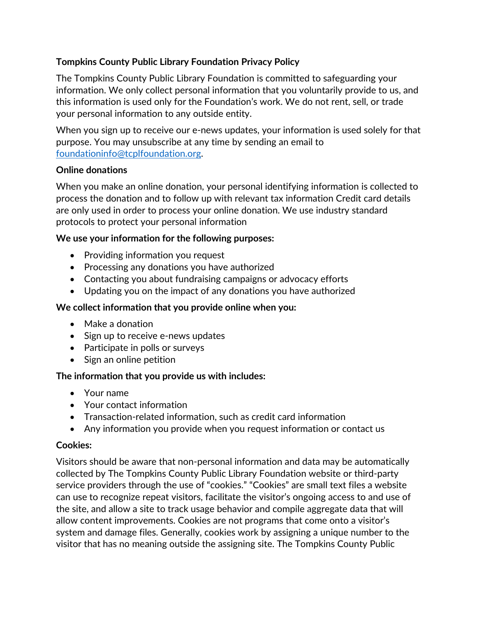# **Tompkins County Public Library Foundation Privacy Policy**

The Tompkins County Public Library Foundation is committed to safeguarding your information. We only collect personal information that you voluntarily provide to us, and this information is used only for the Foundation's work. We do not rent, sell, or trade your personal information to any outside entity.

When you sign up to receive our e-news updates, your information is used solely for that purpose. You may unsubscribe at any time by sending an email to [foundationinfo@tcplfoundation.org.](mailto:foundationinfo@tcplfoundation.org)

#### **Online donations**

When you make an online donation, your personal identifying information is collected to process the donation and to follow up with relevant tax information Credit card details are only used in order to process your online donation. We use industry standard protocols to protect your personal information

### **We use your information for the following purposes:**

- Providing information you request
- Processing any donations you have authorized
- Contacting you about fundraising campaigns or advocacy efforts
- Updating you on the impact of any donations you have authorized

### **We collect information that you provide online when you:**

- Make a donation
- Sign up to receive e-news updates
- Participate in polls or surveys
- Sign an online petition

### **The information that you provide us with includes:**

- Your name
- Your contact information
- Transaction-related information, such as credit card information
- Any information you provide when you request information or contact us

### **Cookies:**

Visitors should be aware that non-personal information and data may be automatically collected by The Tompkins County Public Library Foundation website or third-party service providers through the use of "cookies." "Cookies" are small text files a website can use to recognize repeat visitors, facilitate the visitor's ongoing access to and use of the site, and allow a site to track usage behavior and compile aggregate data that will allow content improvements. Cookies are not programs that come onto a visitor's system and damage files. Generally, cookies work by assigning a unique number to the visitor that has no meaning outside the assigning site. The Tompkins County Public